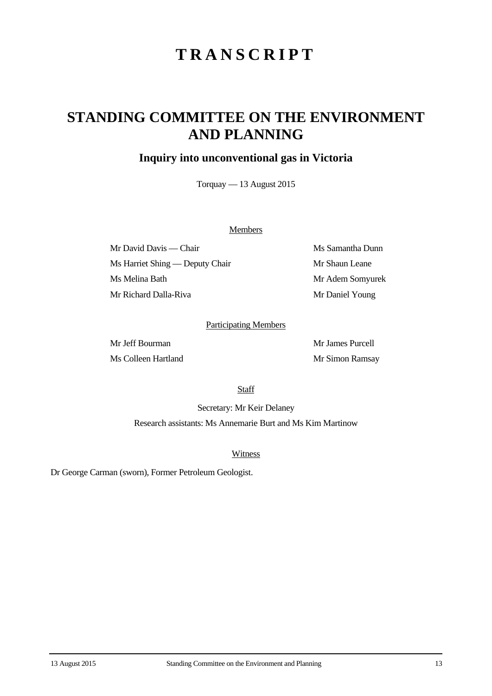# **TRANSCRIPT**

## **STANDING COMMITTEE ON THE ENVIRONMENT AND PLANNING**

### **Inquiry into unconventional gas in Victoria**

Torquay — 13 August 2015

#### **Members**

Mr David Davis — Chair Ms Samantha Dunn Ms Harriet Shing — Deputy Chair Mr Shaun Leane Ms Melina Bath Mr Adem Somyurek Mr Richard Dalla-Riva Mr Daniel Young

#### Participating Members

Mr Jeff Bourman Mr James Purcell Ms Colleen Hartland Mr Simon Ramsay

**Staff** 

Secretary: Mr Keir Delaney Research assistants: Ms Annemarie Burt and Ms Kim Martinow

Witness

Dr George Carman (sworn), Former Petroleum Geologist.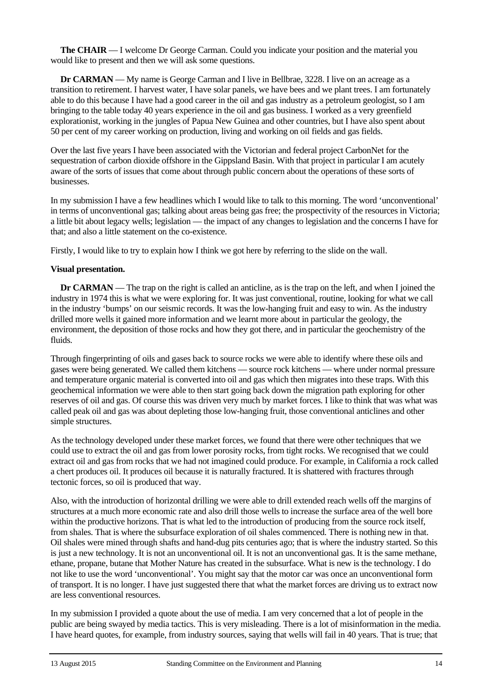**The CHAIR** — I welcome Dr George Carman. Could you indicate your position and the material you would like to present and then we will ask some questions.

**Dr CARMAN** — My name is George Carman and I live in Bellbrae, 3228. I live on an acreage as a transition to retirement. I harvest water, I have solar panels, we have bees and we plant trees. I am fortunately able to do this because I have had a good career in the oil and gas industry as a petroleum geologist, so I am bringing to the table today 40 years experience in the oil and gas business. I worked as a very greenfield explorationist, working in the jungles of Papua New Guinea and other countries, but I have also spent about 50 per cent of my career working on production, living and working on oil fields and gas fields.

Over the last five years I have been associated with the Victorian and federal project CarbonNet for the sequestration of carbon dioxide offshore in the Gippsland Basin. With that project in particular I am acutely aware of the sorts of issues that come about through public concern about the operations of these sorts of businesses.

In my submission I have a few headlines which I would like to talk to this morning. The word 'unconventional' in terms of unconventional gas; talking about areas being gas free; the prospectivity of the resources in Victoria; a little bit about legacy wells; legislation — the impact of any changes to legislation and the concerns I have for that; and also a little statement on the co-existence.

Firstly, I would like to try to explain how I think we got here by referring to the slide on the wall.

#### **Visual presentation.**

**Dr CARMAN** — The trap on the right is called an anticline, as is the trap on the left, and when I joined the industry in 1974 this is what we were exploring for. It was just conventional, routine, looking for what we call in the industry 'bumps' on our seismic records. It was the low-hanging fruit and easy to win. As the industry drilled more wells it gained more information and we learnt more about in particular the geology, the environment, the deposition of those rocks and how they got there, and in particular the geochemistry of the fluids.

Through fingerprinting of oils and gases back to source rocks we were able to identify where these oils and gases were being generated. We called them kitchens — source rock kitchens — where under normal pressure and temperature organic material is converted into oil and gas which then migrates into these traps. With this geochemical information we were able to then start going back down the migration path exploring for other reserves of oil and gas. Of course this was driven very much by market forces. I like to think that was what was called peak oil and gas was about depleting those low-hanging fruit, those conventional anticlines and other simple structures.

As the technology developed under these market forces, we found that there were other techniques that we could use to extract the oil and gas from lower porosity rocks, from tight rocks. We recognised that we could extract oil and gas from rocks that we had not imagined could produce. For example, in California a rock called a chert produces oil. It produces oil because it is naturally fractured. It is shattered with fractures through tectonic forces, so oil is produced that way.

Also, with the introduction of horizontal drilling we were able to drill extended reach wells off the margins of structures at a much more economic rate and also drill those wells to increase the surface area of the well bore within the productive horizons. That is what led to the introduction of producing from the source rock itself, from shales. That is where the subsurface exploration of oil shales commenced. There is nothing new in that. Oil shales were mined through shafts and hand-dug pits centuries ago; that is where the industry started. So this is just a new technology. It is not an unconventional oil. It is not an unconventional gas. It is the same methane, ethane, propane, butane that Mother Nature has created in the subsurface. What is new is the technology. I do not like to use the word 'unconventional'. You might say that the motor car was once an unconventional form of transport. It is no longer. I have just suggested there that what the market forces are driving us to extract now are less conventional resources.

In my submission I provided a quote about the use of media. I am very concerned that a lot of people in the public are being swayed by media tactics. This is very misleading. There is a lot of misinformation in the media. I have heard quotes, for example, from industry sources, saying that wells will fail in 40 years. That is true; that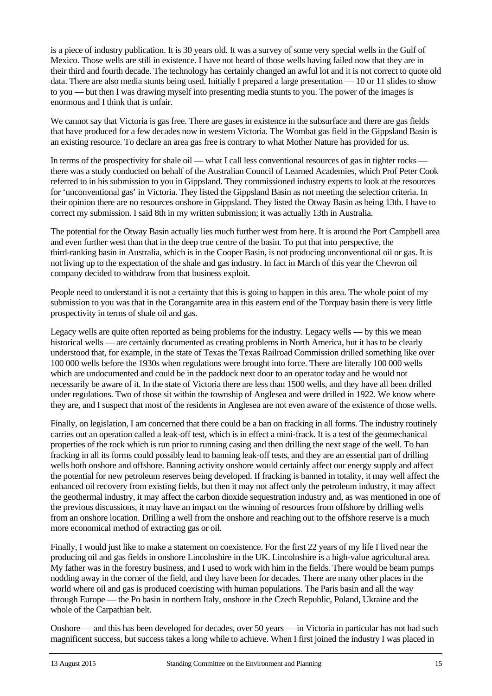is a piece of industry publication. It is 30 years old. It was a survey of some very special wells in the Gulf of Mexico. Those wells are still in existence. I have not heard of those wells having failed now that they are in their third and fourth decade. The technology has certainly changed an awful lot and it is not correct to quote old data. There are also media stunts being used. Initially I prepared a large presentation — 10 or 11 slides to show to you — but then I was drawing myself into presenting media stunts to you. The power of the images is enormous and I think that is unfair.

We cannot say that Victoria is gas free. There are gases in existence in the subsurface and there are gas fields that have produced for a few decades now in western Victoria. The Wombat gas field in the Gippsland Basin is an existing resource. To declare an area gas free is contrary to what Mother Nature has provided for us.

In terms of the prospectivity for shale oil — what I call less conventional resources of gas in tighter rocks there was a study conducted on behalf of the Australian Council of Learned Academies, which Prof Peter Cook referred to in his submission to you in Gippsland. They commissioned industry experts to look at the resources for 'unconventional gas' in Victoria. They listed the Gippsland Basin as not meeting the selection criteria. In their opinion there are no resources onshore in Gippsland. They listed the Otway Basin as being 13th. I have to correct my submission. I said 8th in my written submission; it was actually 13th in Australia.

The potential for the Otway Basin actually lies much further west from here. It is around the Port Campbell area and even further west than that in the deep true centre of the basin. To put that into perspective, the third-ranking basin in Australia, which is in the Cooper Basin, is not producing unconventional oil or gas. It is not living up to the expectation of the shale and gas industry. In fact in March of this year the Chevron oil company decided to withdraw from that business exploit.

People need to understand it is not a certainty that this is going to happen in this area. The whole point of my submission to you was that in the Corangamite area in this eastern end of the Torquay basin there is very little prospectivity in terms of shale oil and gas.

Legacy wells are quite often reported as being problems for the industry. Legacy wells — by this we mean historical wells — are certainly documented as creating problems in North America, but it has to be clearly understood that, for example, in the state of Texas the Texas Railroad Commission drilled something like over 100 000 wells before the 1930s when regulations were brought into force. There are literally 100 000 wells which are undocumented and could be in the paddock next door to an operator today and he would not necessarily be aware of it. In the state of Victoria there are less than 1500 wells, and they have all been drilled under regulations. Two of those sit within the township of Anglesea and were drilled in 1922. We know where they are, and I suspect that most of the residents in Anglesea are not even aware of the existence of those wells.

Finally, on legislation, I am concerned that there could be a ban on fracking in all forms. The industry routinely carries out an operation called a leak-off test, which is in effect a mini-frack. It is a test of the geomechanical properties of the rock which is run prior to running casing and then drilling the next stage of the well. To ban fracking in all its forms could possibly lead to banning leak-off tests, and they are an essential part of drilling wells both onshore and offshore. Banning activity onshore would certainly affect our energy supply and affect the potential for new petroleum reserves being developed. If fracking is banned in totality, it may well affect the enhanced oil recovery from existing fields, but then it may not affect only the petroleum industry, it may affect the geothermal industry, it may affect the carbon dioxide sequestration industry and, as was mentioned in one of the previous discussions, it may have an impact on the winning of resources from offshore by drilling wells from an onshore location. Drilling a well from the onshore and reaching out to the offshore reserve is a much more economical method of extracting gas or oil.

Finally, I would just like to make a statement on coexistence. For the first 22 years of my life I lived near the producing oil and gas fields in onshore Lincolnshire in the UK. Lincolnshire is a high-value agricultural area. My father was in the forestry business, and I used to work with him in the fields. There would be beam pumps nodding away in the corner of the field, and they have been for decades. There are many other places in the world where oil and gas is produced coexisting with human populations. The Paris basin and all the way through Europe — the Po basin in northern Italy, onshore in the Czech Republic, Poland, Ukraine and the whole of the Carpathian belt.

Onshore — and this has been developed for decades, over 50 years — in Victoria in particular has not had such magnificent success, but success takes a long while to achieve. When I first joined the industry I was placed in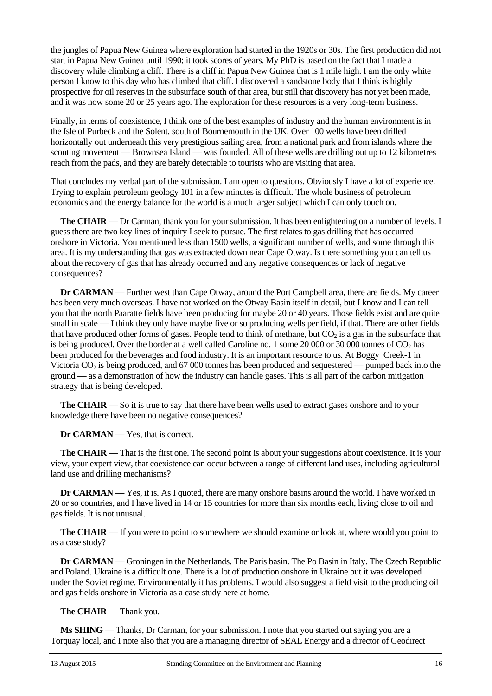the jungles of Papua New Guinea where exploration had started in the 1920s or 30s. The first production did not start in Papua New Guinea until 1990; it took scores of years. My PhD is based on the fact that I made a discovery while climbing a cliff. There is a cliff in Papua New Guinea that is 1 mile high. I am the only white person I know to this day who has climbed that cliff. I discovered a sandstone body that I think is highly prospective for oil reserves in the subsurface south of that area, but still that discovery has not yet been made, and it was now some 20 or 25 years ago. The exploration for these resources is a very long-term business.

Finally, in terms of coexistence, I think one of the best examples of industry and the human environment is in the Isle of Purbeck and the Solent, south of Bournemouth in the UK. Over 100 wells have been drilled horizontally out underneath this very prestigious sailing area, from a national park and from islands where the scouting movement — Brownsea Island — was founded. All of these wells are drilling out up to 12 kilometres reach from the pads, and they are barely detectable to tourists who are visiting that area.

That concludes my verbal part of the submission. I am open to questions. Obviously I have a lot of experience. Trying to explain petroleum geology 101 in a few minutes is difficult. The whole business of petroleum economics and the energy balance for the world is a much larger subject which I can only touch on.

**The CHAIR** — Dr Carman, thank you for your submission. It has been enlightening on a number of levels. I guess there are two key lines of inquiry I seek to pursue. The first relates to gas drilling that has occurred onshore in Victoria. You mentioned less than 1500 wells, a significant number of wells, and some through this area. It is my understanding that gas was extracted down near Cape Otway. Is there something you can tell us about the recovery of gas that has already occurred and any negative consequences or lack of negative consequences?

**Dr CARMAN** — Further west than Cape Otway, around the Port Campbell area, there are fields. My career has been very much overseas. I have not worked on the Otway Basin itself in detail, but I know and I can tell you that the north Paaratte fields have been producing for maybe 20 or 40 years. Those fields exist and are quite small in scale — I think they only have maybe five or so producing wells per field, if that. There are other fields that have produced other forms of gases. People tend to think of methane, but  $CO<sub>2</sub>$  is a gas in the subsurface that is being produced. Over the border at a well called Caroline no. 1 some 20 000 or 30 000 tonnes of  $CO<sub>2</sub>$  has been produced for the beverages and food industry. It is an important resource to us. At Boggy Creek-1 in Victoria  $CO<sub>2</sub>$  is being produced, and 67 000 tonnes has been produced and sequestered — pumped back into the ground — as a demonstration of how the industry can handle gases. This is all part of the carbon mitigation strategy that is being developed.

**The CHAIR** — So it is true to say that there have been wells used to extract gases onshore and to your knowledge there have been no negative consequences?

**Dr CARMAN** — Yes, that is correct.

**The CHAIR** — That is the first one. The second point is about your suggestions about coexistence. It is your view, your expert view, that coexistence can occur between a range of different land uses, including agricultural land use and drilling mechanisms?

**Dr CARMAN** — Yes, it is. As I quoted, there are many onshore basins around the world. I have worked in 20 or so countries, and I have lived in 14 or 15 countries for more than six months each, living close to oil and gas fields. It is not unusual.

**The CHAIR** — If you were to point to somewhere we should examine or look at, where would you point to as a case study?

**Dr CARMAN** — Groningen in the Netherlands. The Paris basin. The Po Basin in Italy. The Czech Republic and Poland. Ukraine is a difficult one. There is a lot of production onshore in Ukraine but it was developed under the Soviet regime. Environmentally it has problems. I would also suggest a field visit to the producing oil and gas fields onshore in Victoria as a case study here at home.

**The CHAIR** — Thank you.

**Ms SHING** — Thanks, Dr Carman, for your submission. I note that you started out saying you are a Torquay local, and I note also that you are a managing director of SEAL Energy and a director of Geodirect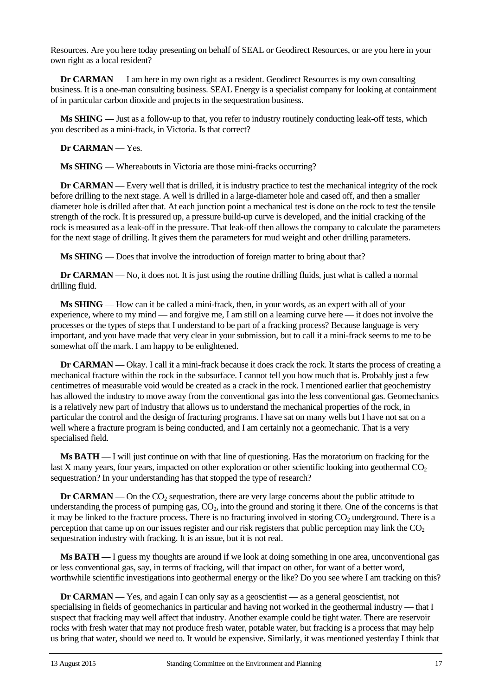Resources. Are you here today presenting on behalf of SEAL or Geodirect Resources, or are you here in your own right as a local resident?

**Dr CARMAN** — I am here in my own right as a resident. Geodirect Resources is my own consulting business. It is a one-man consulting business. SEAL Energy is a specialist company for looking at containment of in particular carbon dioxide and projects in the sequestration business.

**Ms SHING** — Just as a follow-up to that, you refer to industry routinely conducting leak-off tests, which you described as a mini-frack, in Victoria. Is that correct?

**Dr CARMAN** — Yes.

**Ms SHING** — Whereabouts in Victoria are those mini-fracks occurring?

**Dr CARMAN** — Every well that is drilled, it is industry practice to test the mechanical integrity of the rock before drilling to the next stage. A well is drilled in a large-diameter hole and cased off, and then a smaller diameter hole is drilled after that. At each junction point a mechanical test is done on the rock to test the tensile strength of the rock. It is pressured up, a pressure build-up curve is developed, and the initial cracking of the rock is measured as a leak-off in the pressure. That leak-off then allows the company to calculate the parameters for the next stage of drilling. It gives them the parameters for mud weight and other drilling parameters.

**Ms SHING** — Does that involve the introduction of foreign matter to bring about that?

**Dr CARMAN** — No, it does not. It is just using the routine drilling fluids, just what is called a normal drilling fluid.

**Ms SHING** — How can it be called a mini-frack, then, in your words, as an expert with all of your experience, where to my mind — and forgive me, I am still on a learning curve here — it does not involve the processes or the types of steps that I understand to be part of a fracking process? Because language is very important, and you have made that very clear in your submission, but to call it a mini-frack seems to me to be somewhat off the mark. I am happy to be enlightened.

**Dr CARMAN** — Okay. I call it a mini-frack because it does crack the rock. It starts the process of creating a mechanical fracture within the rock in the subsurface. I cannot tell you how much that is. Probably just a few centimetres of measurable void would be created as a crack in the rock. I mentioned earlier that geochemistry has allowed the industry to move away from the conventional gas into the less conventional gas. Geomechanics is a relatively new part of industry that allows us to understand the mechanical properties of the rock, in particular the control and the design of fracturing programs. I have sat on many wells but I have not sat on a well where a fracture program is being conducted, and I am certainly not a geomechanic. That is a very specialised field.

**Ms BATH** — I will just continue on with that line of questioning. Has the moratorium on fracking for the last X many years, four years, impacted on other exploration or other scientific looking into geothermal  $CO<sub>2</sub>$ sequestration? In your understanding has that stopped the type of research?

**Dr CARMAN** — On the  $CO<sub>2</sub>$  sequestration, there are very large concerns about the public attitude to understanding the process of pumping gas,  $CO<sub>2</sub>$ , into the ground and storing it there. One of the concerns is that it may be linked to the fracture process. There is no fracturing involved in storing  $CO<sub>2</sub>$  underground. There is a perception that came up on our issues register and our risk registers that public perception may link the  $CO<sub>2</sub>$ sequestration industry with fracking. It is an issue, but it is not real.

**Ms BATH** — I guess my thoughts are around if we look at doing something in one area, unconventional gas or less conventional gas, say, in terms of fracking, will that impact on other, for want of a better word, worthwhile scientific investigations into geothermal energy or the like? Do you see where I am tracking on this?

**Dr CARMAN** — Yes, and again I can only say as a geoscientist — as a general geoscientist, not specialising in fields of geomechanics in particular and having not worked in the geothermal industry — that I suspect that fracking may well affect that industry. Another example could be tight water. There are reservoir rocks with fresh water that may not produce fresh water, potable water, but fracking is a process that may help us bring that water, should we need to. It would be expensive. Similarly, it was mentioned yesterday I think that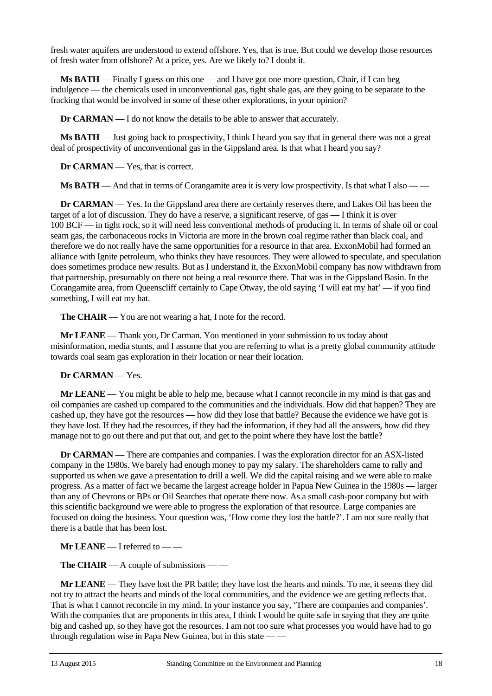fresh water aquifers are understood to extend offshore. Yes, that is true. But could we develop those resources of fresh water from offshore? At a price, yes. Are we likely to? I doubt it.

**Ms BATH** — Finally I guess on this one — and I have got one more question, Chair, if I can beg indulgence — the chemicals used in unconventional gas, tight shale gas, are they going to be separate to the fracking that would be involved in some of these other explorations, in your opinion?

**Dr CARMAN** — I do not know the details to be able to answer that accurately.

**Ms BATH** — Just going back to prospectivity, I think I heard you say that in general there was not a great deal of prospectivity of unconventional gas in the Gippsland area. Is that what I heard you say?

**Dr CARMAN** — Yes, that is correct.

**Ms BATH** — And that in terms of Corangamite area it is very low prospectivity. Is that what I also — —

**Dr CARMAN** — Yes. In the Gippsland area there are certainly reserves there, and Lakes Oil has been the target of a lot of discussion. They do have a reserve, a significant reserve, of gas — I think it is over 100 BCF — in tight rock, so it will need less conventional methods of producing it. In terms of shale oil or coal seam gas, the carbonaceous rocks in Victoria are more in the brown coal regime rather than black coal, and therefore we do not really have the same opportunities for a resource in that area. ExxonMobil had formed an alliance with Ignite petroleum, who thinks they have resources. They were allowed to speculate, and speculation does sometimes produce new results. But as I understand it, the ExxonMobil company has now withdrawn from that partnership, presumably on there not being a real resource there. That was in the Gippsland Basin. In the Corangamite area, from Queenscliff certainly to Cape Otway, the old saying 'I will eat my hat' — if you find something, I will eat my hat.

**The CHAIR** — You are not wearing a hat, I note for the record.

**Mr LEANE** — Thank you, Dr Carman. You mentioned in your submission to us today about misinformation, media stunts, and I assume that you are referring to what is a pretty global community attitude towards coal seam gas exploration in their location or near their location.

#### **Dr CARMAN** — Yes.

**Mr LEANE** — You might be able to help me, because what I cannot reconcile in my mind is that gas and oil companies are cashed up compared to the communities and the individuals. How did that happen? They are cashed up, they have got the resources — how did they lose that battle? Because the evidence we have got is they have lost. If they had the resources, if they had the information, if they had all the answers, how did they manage not to go out there and put that out, and get to the point where they have lost the battle?

**Dr CARMAN** — There are companies and companies. I was the exploration director for an ASX-listed company in the 1980s. We barely had enough money to pay my salary. The shareholders came to rally and supported us when we gave a presentation to drill a well. We did the capital raising and we were able to make progress. As a matter of fact we became the largest acreage holder in Papua New Guinea in the 1980s — larger than any of Chevrons or BPs or Oil Searches that operate there now. As a small cash-poor company but with this scientific background we were able to progress the exploration of that resource. Large companies are focused on doing the business. Your question was, 'How come they lost the battle?'. I am not sure really that there is a battle that has been lost.

**Mr LEANE** — I referred to — —

**The CHAIR** — A couple of submissions — —

**Mr LEANE** — They have lost the PR battle; they have lost the hearts and minds. To me, it seems they did not try to attract the hearts and minds of the local communities, and the evidence we are getting reflects that. That is what I cannot reconcile in my mind. In your instance you say, 'There are companies and companies'. With the companies that are proponents in this area, I think I would be quite safe in saying that they are quite big and cashed up, so they have got the resources. I am not too sure what processes you would have had to go through regulation wise in Papa New Guinea, but in this state — —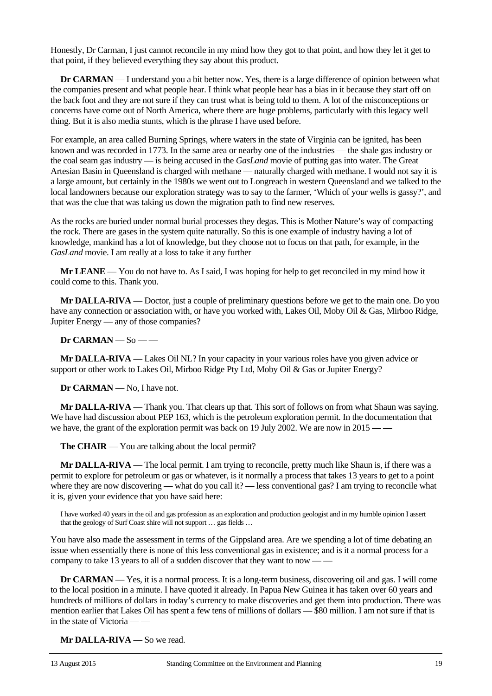Honestly, Dr Carman, I just cannot reconcile in my mind how they got to that point, and how they let it get to that point, if they believed everything they say about this product.

**Dr CARMAN** — I understand you a bit better now. Yes, there is a large difference of opinion between what the companies present and what people hear. I think what people hear has a bias in it because they start off on the back foot and they are not sure if they can trust what is being told to them. A lot of the misconceptions or concerns have come out of North America, where there are huge problems, particularly with this legacy well thing. But it is also media stunts, which is the phrase I have used before.

For example, an area called Burning Springs, where waters in the state of Virginia can be ignited, has been known and was recorded in 1773. In the same area or nearby one of the industries — the shale gas industry or the coal seam gas industry — is being accused in the *GasLand* movie of putting gas into water. The Great Artesian Basin in Queensland is charged with methane — naturally charged with methane. I would not say it is a large amount, but certainly in the 1980s we went out to Longreach in western Queensland and we talked to the local landowners because our exploration strategy was to say to the farmer, 'Which of your wells is gassy?', and that was the clue that was taking us down the migration path to find new reserves.

As the rocks are buried under normal burial processes they degas. This is Mother Nature's way of compacting the rock. There are gases in the system quite naturally. So this is one example of industry having a lot of knowledge, mankind has a lot of knowledge, but they choose not to focus on that path, for example, in the *GasLand* movie. I am really at a loss to take it any further

**Mr LEANE** — You do not have to. As I said, I was hoping for help to get reconciled in my mind how it could come to this. Thank you.

**Mr DALLA-RIVA** — Doctor, just a couple of preliminary questions before we get to the main one. Do you have any connection or association with, or have you worked with, Lakes Oil, Moby Oil & Gas, Mirboo Ridge, Jupiter Energy — any of those companies?

**Dr CARMAN** — So — —

**Mr DALLA-RIVA** — Lakes Oil NL? In your capacity in your various roles have you given advice or support or other work to Lakes Oil, Mirboo Ridge Pty Ltd, Moby Oil & Gas or Jupiter Energy?

**Dr CARMAN** — No, I have not.

**Mr DALLA-RIVA** — Thank you. That clears up that. This sort of follows on from what Shaun was saying. We have had discussion about PEP 163, which is the petroleum exploration permit. In the documentation that we have, the grant of the exploration permit was back on 19 July 2002. We are now in 2015 —

**The CHAIR** — You are talking about the local permit?

**Mr DALLA-RIVA** — The local permit. I am trying to reconcile, pretty much like Shaun is, if there was a permit to explore for petroleum or gas or whatever, is it normally a process that takes 13 years to get to a point where they are now discovering — what do you call it? — less conventional gas? I am trying to reconcile what it is, given your evidence that you have said here:

I have worked 40 years in the oil and gas profession as an exploration and production geologist and in my humble opinion I assert that the geology of Surf Coast shire will not support … gas fields …

You have also made the assessment in terms of the Gippsland area. Are we spending a lot of time debating an issue when essentially there is none of this less conventional gas in existence; and is it a normal process for a company to take 13 years to all of a sudden discover that they want to now — —

**Dr CARMAN** — Yes, it is a normal process. It is a long-term business, discovering oil and gas. I will come to the local position in a minute. I have quoted it already. In Papua New Guinea it has taken over 60 years and hundreds of millions of dollars in today's currency to make discoveries and get them into production. There was mention earlier that Lakes Oil has spent a few tens of millions of dollars — \$80 million. I am not sure if that is in the state of Victoria — —

**Mr DALLA-RIVA** — So we read.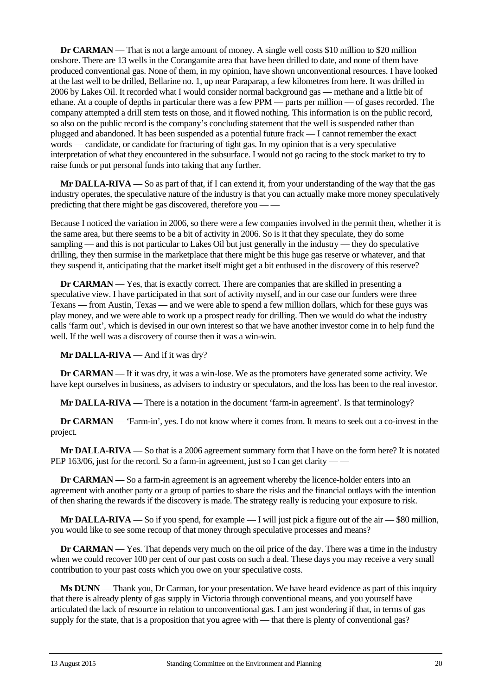**Dr CARMAN** — That is not a large amount of money. A single well costs \$10 million to \$20 million onshore. There are 13 wells in the Corangamite area that have been drilled to date, and none of them have produced conventional gas. None of them, in my opinion, have shown unconventional resources. I have looked at the last well to be drilled, Bellarine no. 1, up near Paraparap, a few kilometres from here. It was drilled in 2006 by Lakes Oil. It recorded what I would consider normal background gas — methane and a little bit of ethane. At a couple of depths in particular there was a few PPM — parts per million — of gases recorded. The company attempted a drill stem tests on those, and it flowed nothing. This information is on the public record, so also on the public record is the company's concluding statement that the well is suspended rather than plugged and abandoned. It has been suspended as a potential future frack — I cannot remember the exact words — candidate, or candidate for fracturing of tight gas. In my opinion that is a very speculative interpretation of what they encountered in the subsurface. I would not go racing to the stock market to try to raise funds or put personal funds into taking that any further.

**Mr DALLA-RIVA** — So as part of that, if I can extend it, from your understanding of the way that the gas industry operates, the speculative nature of the industry is that you can actually make more money speculatively predicting that there might be gas discovered, therefore you — —

Because I noticed the variation in 2006, so there were a few companies involved in the permit then, whether it is the same area, but there seems to be a bit of activity in 2006. So is it that they speculate, they do some sampling — and this is not particular to Lakes Oil but just generally in the industry — they do speculative drilling, they then surmise in the marketplace that there might be this huge gas reserve or whatever, and that they suspend it, anticipating that the market itself might get a bit enthused in the discovery of this reserve?

**Dr CARMAN** — Yes, that is exactly correct. There are companies that are skilled in presenting a speculative view. I have participated in that sort of activity myself, and in our case our funders were three Texans — from Austin, Texas — and we were able to spend a few million dollars, which for these guys was play money, and we were able to work up a prospect ready for drilling. Then we would do what the industry calls 'farm out', which is devised in our own interest so that we have another investor come in to help fund the well. If the well was a discovery of course then it was a win-win.

**Mr DALLA-RIVA** — And if it was dry?

**Dr CARMAN** — If it was dry, it was a win-lose. We as the promoters have generated some activity. We have kept ourselves in business, as advisers to industry or speculators, and the loss has been to the real investor.

**Mr DALLA-RIVA** — There is a notation in the document 'farm-in agreement'. Is that terminology?

**Dr CARMAN** — 'Farm-in', yes. I do not know where it comes from. It means to seek out a co-invest in the project.

**Mr DALLA-RIVA** — So that is a 2006 agreement summary form that I have on the form here? It is notated PEP 163/06, just for the record. So a farm-in agreement, just so I can get clarity — —

**Dr CARMAN** — So a farm-in agreement is an agreement whereby the licence-holder enters into an agreement with another party or a group of parties to share the risks and the financial outlays with the intention of then sharing the rewards if the discovery is made. The strategy really is reducing your exposure to risk.

**Mr DALLA-RIVA** — So if you spend, for example — I will just pick a figure out of the air — \$80 million, you would like to see some recoup of that money through speculative processes and means?

**Dr CARMAN** — Yes. That depends very much on the oil price of the day. There was a time in the industry when we could recover 100 per cent of our past costs on such a deal. These days you may receive a very small contribution to your past costs which you owe on your speculative costs.

**Ms DUNN** — Thank you, Dr Carman, for your presentation. We have heard evidence as part of this inquiry that there is already plenty of gas supply in Victoria through conventional means, and you yourself have articulated the lack of resource in relation to unconventional gas. I am just wondering if that, in terms of gas supply for the state, that is a proposition that you agree with — that there is plenty of conventional gas?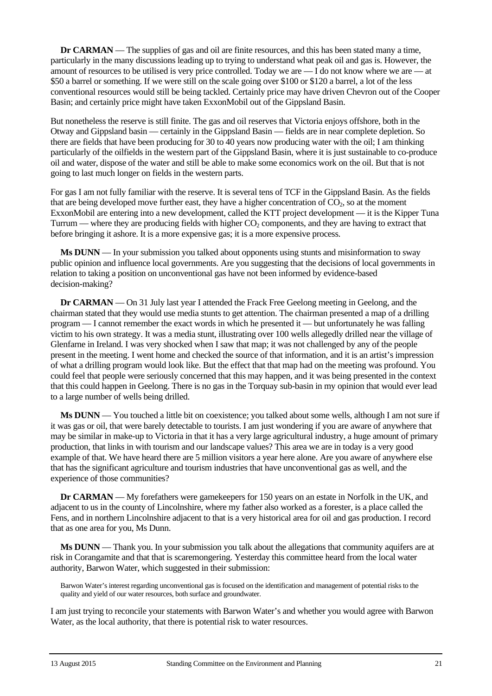**Dr CARMAN** — The supplies of gas and oil are finite resources, and this has been stated many a time, particularly in the many discussions leading up to trying to understand what peak oil and gas is. However, the amount of resources to be utilised is very price controlled. Today we are  $\overline{\phantom{a}}$  I do not know where we are  $\overline{\phantom{a}}$  at \$50 a barrel or something. If we were still on the scale going over \$100 or \$120 a barrel, a lot of the less conventional resources would still be being tackled. Certainly price may have driven Chevron out of the Cooper Basin; and certainly price might have taken ExxonMobil out of the Gippsland Basin.

But nonetheless the reserve is still finite. The gas and oil reserves that Victoria enjoys offshore, both in the Otway and Gippsland basin — certainly in the Gippsland Basin — fields are in near complete depletion. So there are fields that have been producing for 30 to 40 years now producing water with the oil; I am thinking particularly of the oilfields in the western part of the Gippsland Basin, where it is just sustainable to co-produce oil and water, dispose of the water and still be able to make some economics work on the oil. But that is not going to last much longer on fields in the western parts.

For gas I am not fully familiar with the reserve. It is several tens of TCF in the Gippsland Basin. As the fields that are being developed move further east, they have a higher concentration of  $CO<sub>2</sub>$ , so at the moment ExxonMobil are entering into a new development, called the KTT project development — it is the Kipper Tuna Turrum — where they are producing fields with higher  $CO_2$  components, and they are having to extract that before bringing it ashore. It is a more expensive gas; it is a more expensive process.

**Ms DUNN** — In your submission you talked about opponents using stunts and misinformation to sway public opinion and influence local governments. Are you suggesting that the decisions of local governments in relation to taking a position on unconventional gas have not been informed by evidence-based decision-making?

**Dr CARMAN** — On 31 July last year I attended the Frack Free Geelong meeting in Geelong, and the chairman stated that they would use media stunts to get attention. The chairman presented a map of a drilling program — I cannot remember the exact words in which he presented it — but unfortunately he was falling victim to his own strategy. It was a media stunt, illustrating over 100 wells allegedly drilled near the village of Glenfarne in Ireland. I was very shocked when I saw that map; it was not challenged by any of the people present in the meeting. I went home and checked the source of that information, and it is an artist's impression of what a drilling program would look like. But the effect that that map had on the meeting was profound. You could feel that people were seriously concerned that this may happen, and it was being presented in the context that this could happen in Geelong. There is no gas in the Torquay sub-basin in my opinion that would ever lead to a large number of wells being drilled.

**Ms DUNN** — You touched a little bit on coexistence; you talked about some wells, although I am not sure if it was gas or oil, that were barely detectable to tourists. I am just wondering if you are aware of anywhere that may be similar in make-up to Victoria in that it has a very large agricultural industry, a huge amount of primary production, that links in with tourism and our landscape values? This area we are in today is a very good example of that. We have heard there are 5 million visitors a year here alone. Are you aware of anywhere else that has the significant agriculture and tourism industries that have unconventional gas as well, and the experience of those communities?

**Dr CARMAN** — My forefathers were gamekeepers for 150 years on an estate in Norfolk in the UK, and adjacent to us in the county of Lincolnshire, where my father also worked as a forester, is a place called the Fens, and in northern Lincolnshire adjacent to that is a very historical area for oil and gas production. I record that as one area for you, Ms Dunn.

**Ms DUNN** — Thank you. In your submission you talk about the allegations that community aquifers are at risk in Corangamite and that that is scaremongering. Yesterday this committee heard from the local water authority, Barwon Water, which suggested in their submission:

Barwon Water's interest regarding unconventional gas is focused on the identification and management of potential risks to the quality and yield of our water resources, both surface and groundwater.

I am just trying to reconcile your statements with Barwon Water's and whether you would agree with Barwon Water, as the local authority, that there is potential risk to water resources.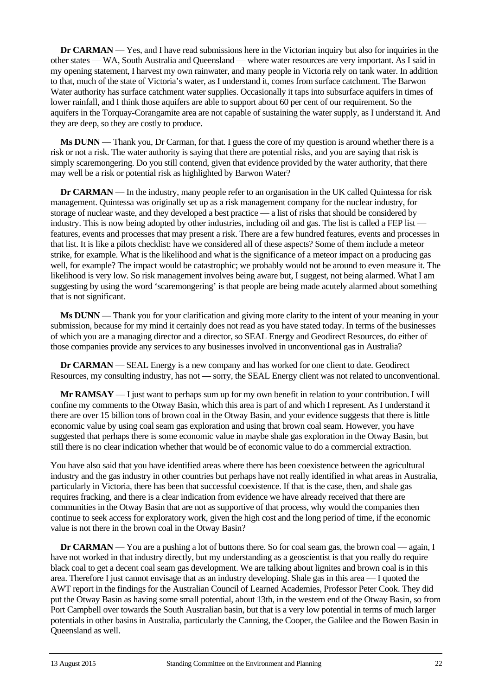**Dr CARMAN** — Yes, and I have read submissions here in the Victorian inquiry but also for inquiries in the other states — WA, South Australia and Queensland — where water resources are very important. As I said in my opening statement, I harvest my own rainwater, and many people in Victoria rely on tank water. In addition to that, much of the state of Victoria's water, as I understand it, comes from surface catchment. The Barwon Water authority has surface catchment water supplies. Occasionally it taps into subsurface aquifers in times of lower rainfall, and I think those aquifers are able to support about 60 per cent of our requirement. So the aquifers in the Torquay-Corangamite area are not capable of sustaining the water supply, as I understand it. And they are deep, so they are costly to produce.

**Ms DUNN** — Thank you, Dr Carman, for that. I guess the core of my question is around whether there is a risk or not a risk. The water authority is saying that there are potential risks, and you are saying that risk is simply scaremongering. Do you still contend, given that evidence provided by the water authority, that there may well be a risk or potential risk as highlighted by Barwon Water?

**Dr CARMAN** — In the industry, many people refer to an organisation in the UK called Quintessa for risk management. Quintessa was originally set up as a risk management company for the nuclear industry, for storage of nuclear waste, and they developed a best practice — a list of risks that should be considered by industry. This is now being adopted by other industries, including oil and gas. The list is called a FEP list features, events and processes that may present a risk. There are a few hundred features, events and processes in that list. It is like a pilots checklist: have we considered all of these aspects? Some of them include a meteor strike, for example. What is the likelihood and what is the significance of a meteor impact on a producing gas well, for example? The impact would be catastrophic; we probably would not be around to even measure it. The likelihood is very low. So risk management involves being aware but, I suggest, not being alarmed. What I am suggesting by using the word 'scaremongering' is that people are being made acutely alarmed about something that is not significant.

**Ms DUNN** — Thank you for your clarification and giving more clarity to the intent of your meaning in your submission, because for my mind it certainly does not read as you have stated today. In terms of the businesses of which you are a managing director and a director, so SEAL Energy and Geodirect Resources, do either of those companies provide any services to any businesses involved in unconventional gas in Australia?

**Dr CARMAN** — SEAL Energy is a new company and has worked for one client to date. Geodirect Resources, my consulting industry, has not — sorry, the SEAL Energy client was not related to unconventional.

**Mr RAMSAY** — I just want to perhaps sum up for my own benefit in relation to your contribution. I will confine my comments to the Otway Basin, which this area is part of and which I represent. As I understand it there are over 15 billion tons of brown coal in the Otway Basin, and your evidence suggests that there is little economic value by using coal seam gas exploration and using that brown coal seam. However, you have suggested that perhaps there is some economic value in maybe shale gas exploration in the Otway Basin, but still there is no clear indication whether that would be of economic value to do a commercial extraction.

You have also said that you have identified areas where there has been coexistence between the agricultural industry and the gas industry in other countries but perhaps have not really identified in what areas in Australia, particularly in Victoria, there has been that successful coexistence. If that is the case, then, and shale gas requires fracking, and there is a clear indication from evidence we have already received that there are communities in the Otway Basin that are not as supportive of that process, why would the companies then continue to seek access for exploratory work, given the high cost and the long period of time, if the economic value is not there in the brown coal in the Otway Basin?

**Dr CARMAN** — You are a pushing a lot of buttons there. So for coal seam gas, the brown coal — again, I have not worked in that industry directly, but my understanding as a geoscientist is that you really do require black coal to get a decent coal seam gas development. We are talking about lignites and brown coal is in this area. Therefore I just cannot envisage that as an industry developing. Shale gas in this area — I quoted the AWT report in the findings for the Australian Council of Learned Academies, Professor Peter Cook. They did put the Otway Basin as having some small potential, about 13th, in the western end of the Otway Basin, so from Port Campbell over towards the South Australian basin, but that is a very low potential in terms of much larger potentials in other basins in Australia, particularly the Canning, the Cooper, the Galilee and the Bowen Basin in Queensland as well.